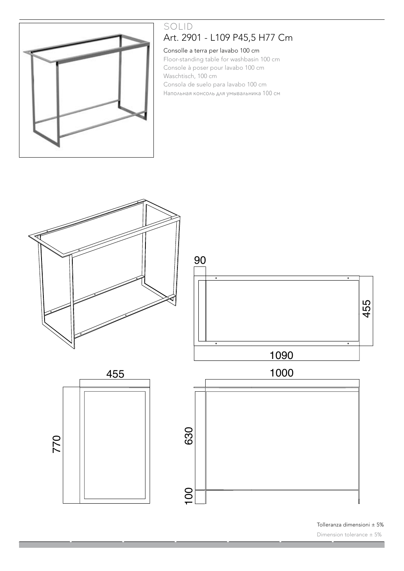

# SOLID Art. 2901 - L109 P45,5 H77 Cm

### Consolle a terra per lavabo 100 cm

Floor-standing table for washbasin 100 cm Console à poser pour lavabo 100 cm Waschtisch, 100 cm Consola de suelo para lavabo 100 cm Напольная консоль для умывальника 100 см



Tolleranza dimensioni ± 5%

Dimension tolerance ± 5%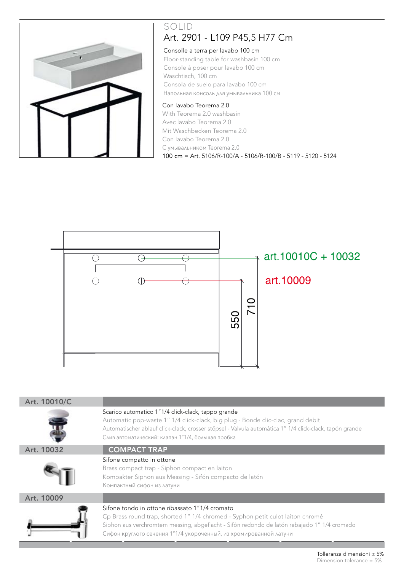

# SOLID Art. 2901 - L109 P45,5 H77 Cm

### Consolle a terra per lavabo 100 cm

Art. 2001console à poser pour lavabo 100 cm Floor-standing table for washbasin 100 cm Waschtisch, 100 cm Consola de suelo para lavabo 100 cm Напольная консоль для умывальника 100 см

### Con lavabo Teorema 2.0

With Teorema 2.0 washbasin Avec lavabo Teorema 2.0 Mit Waschbecken Teorema 2.0 Con lavabo Teorema 2.0 C умывальником Teorema 2.0 100 cm = Art. 5106/R-100/A - 5106/R-100/B - 5119 - 5120 - 5124



| Art. 10010/C |                                                                                                                                                                                                                                                                                                       |
|--------------|-------------------------------------------------------------------------------------------------------------------------------------------------------------------------------------------------------------------------------------------------------------------------------------------------------|
|              | Scarico automatico 1"1/4 click-clack, tappo grande<br>Automatic pop-waste 1" 1/4 click-clack, big plug - Bonde clic-clac, grand debit<br>Automatischer ablauf click-clack, crosser stöpsel - Valvula automática 1" 1/4 click-clack, tapón grande<br>Слив автоматический: клапан 1"1/4, большая пробка |
| Art. 10032   | <b>COMPACT TRAP</b>                                                                                                                                                                                                                                                                                   |
|              | Sifone compatto in ottone<br>Brass compact trap - Siphon compact en laiton<br>Kompakter Siphon aus Messing - Sifón compacto de latón<br>Компактный сифон из латуни                                                                                                                                    |
| Art. 10009   |                                                                                                                                                                                                                                                                                                       |
|              | Sifone tondo in ottone ribassato 1"1/4 cromato<br>Cp Brass round trap, shorted 1" 1/4 chromed - Syphon petit culot laiton chromé<br>Siphon aus verchromtem messing, abgeflacht - Sifón redondo de latón rebajado 1" 1/4 cromado<br>Сифон круглого сечения 1"1/4 укороченный, из хромированной латуни  |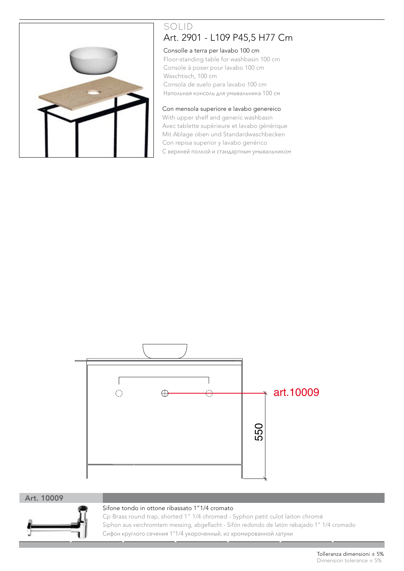

# SOLID Art. 2901 - L109 P45,5 H77 Cm

#### Consolle a terra per lavabo 100 cm

Floor-standing table for washbasin 100 cm Console à poser pour lavabo 100 cm Waschtisch, 100 cm Consola de suelo para lavabo 100 cm Напольная консоль для умывальника 100 см

#### Con mensola superiore e lavabo genereico

With upper shelf and generic washbasin Avec tablette supérieure et lavabo générique Mit Ablage oben und Standardwaschbecken Con repisa superior y lavabo genérico C верхней полкой и стандартным умывальником



#### Art. 10009



#### Sifone tondo in ottone ribassato 1"1/4 cromato

Cp Brass round trap, shorted 1" 1/4 chromed - Syphon petit culot laiton chromé Siphon aus verchromtem messing, abgeflacht - Sifón redondo de latón rebajado 1" 1/4 cromado Сифон круглого сечения 1"1/4 укороченный, из хромированной латуни